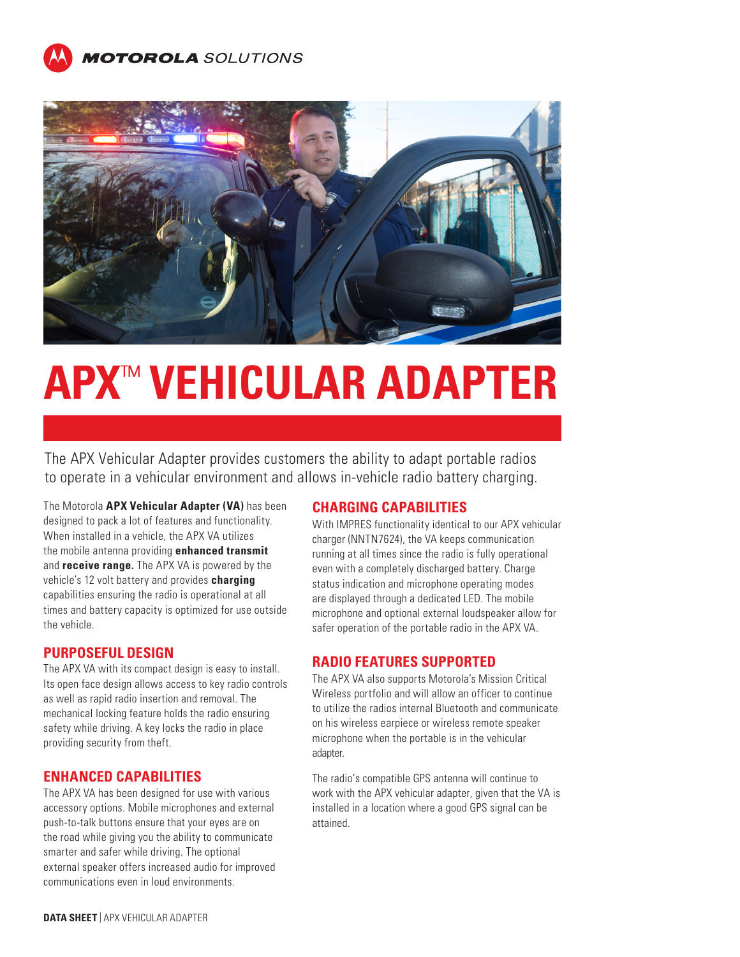



# **APX**™ **VEHICULAR ADAPTER**

The APX Vehicular Adapter provides customers the ability to adapt portable radios to operate in a vehicular environment and allows in-vehicle radio battery charging.

The Motorola **APX Vehicular Adapter (VA)** has been designed to pack a lot of features and functionality. When installed in a vehicle, the APX VA utilizes the mobile antenna providing **enhanced transmit** and **receive range.** The APX VA is powered by the vehicle's 12 volt battery and provides **charging** capabilities ensuring the radio is operational at all times and battery capacity is optimized for use outside the vehicle.

### **PURPOSEFUL DESIGN**

The APX VA with its compact design is easy to install. Its open face design allows access to key radio controls as well as rapid radio insertion and removal. The mechanical locking feature holds the radio ensuring safety while driving. A key locks the radio in place providing security from theft.

#### **ENHANCED CAPABILITIES**

The APX VA has been designed for use with various accessory options. Mobile microphones and external push-to-talk buttons ensure that your eyes are on the road while giving you the ability to communicate smarter and safer while driving. The optional external speaker offers increased audio for improved communications even in loud environments.

#### **CHARGING CAPABILITIES**

With IMPRES functionality identical to our APX vehicular charger (NNTN7624), the VA keeps communication running at all times since the radio is fully operational even with a completely discharged battery. Charge status indication and microphone operating modes are displayed through a dedicated LED. The mobile microphone and optional external loudspeaker allow for safer operation of the portable radio in the APX VA.

## **RADIO FEATURES SUPPORTED**

The APX VA also supports Motorola's Mission Critical Wireless portfolio and will allow an officer to continue to utilize the radios internal Bluetooth and communicate on his wireless earpiece or wireless remote speaker microphone when the portable is in the vehicular adapter.

The radio's compatible GPS antenna will continue to work with the APX vehicular adapter, given that the VA is installed in a location where a good GPS signal can be attained.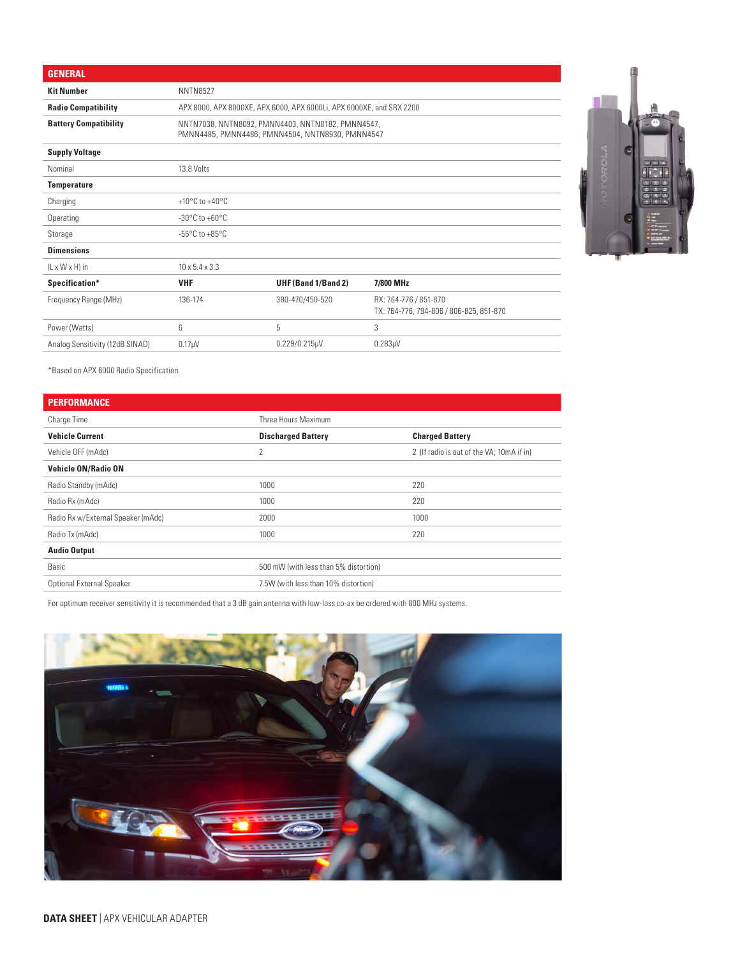| <b>GENERAL</b>                  |                                    |                                                                                                       |                                                                  |
|---------------------------------|------------------------------------|-------------------------------------------------------------------------------------------------------|------------------------------------------------------------------|
| <b>Kit Number</b>               | <b>NNTN8527</b>                    |                                                                                                       |                                                                  |
| <b>Radio Compatibility</b>      |                                    | APX 8000, APX 8000XE, APX 6000, APX 6000Li, APX 6000XE, and SRX 2200                                  |                                                                  |
| <b>Battery Compatibility</b>    |                                    | NNTN7038, NNTN8092, PMNN4403, NNTN8182, PMNN4547,<br>PMNN4485, PMNN4486, PMNN4504, NNTN8930, PMNN4547 |                                                                  |
| <b>Supply Voltage</b>           |                                    |                                                                                                       |                                                                  |
| Nominal                         | 13.8 Volts                         |                                                                                                       |                                                                  |
| <b>Temperature</b>              |                                    |                                                                                                       |                                                                  |
| Charging                        | $+10^{\circ}$ C to $+40^{\circ}$ C |                                                                                                       |                                                                  |
| Operating                       | $-30^{\circ}$ C to $+60^{\circ}$ C |                                                                                                       |                                                                  |
| Storage                         | $-55^{\circ}$ C to $+85^{\circ}$ C |                                                                                                       |                                                                  |
| <b>Dimensions</b>               |                                    |                                                                                                       |                                                                  |
| $(L \times W \times H)$ in      | $10 \times 5.4 \times 3.3$         |                                                                                                       |                                                                  |
| Specification*                  | <b>VHF</b>                         | UHF (Band 1/Band 2)                                                                                   | 7/800 MHz                                                        |
| Frequency Range (MHz)           | 136-174                            | 380-470/450-520                                                                                       | RX: 764-776 / 851-870<br>TX: 764-776, 794-806 / 806-825, 851-870 |
| Power (Watts)                   | 6                                  | 5                                                                                                     | 3                                                                |
| Analog Sensitivity (12dB SINAD) | 0.17 <sub>µ</sub> V                | $0.229/0.215 \mu V$                                                                                   | 0.283 <sub>µ</sub> V                                             |



\*Based on APX 6000 Radio Specification.

| <b>PERFORMANCE</b>                 |                                       |                                           |
|------------------------------------|---------------------------------------|-------------------------------------------|
| Charge Time                        | Three Hours Maximum                   |                                           |
| <b>Vehicle Current</b>             | <b>Discharged Battery</b>             | <b>Charged Battery</b>                    |
| Vehicle OFF (mAdc)                 | 2                                     | 2 (If radio is out of the VA; 10mA if in) |
| <b>Vehicle ON/Radio ON</b>         |                                       |                                           |
| Radio Standby (mAdc)               | 1000                                  | 220                                       |
| Radio Rx (mAdc)                    | 1000                                  | 220                                       |
| Radio Rx w/External Speaker (mAdc) | 2000                                  | 1000                                      |
| Radio Tx (mAdc)                    | 1000                                  | 220                                       |
| <b>Audio Output</b>                |                                       |                                           |
| Basic                              | 500 mW (with less than 5% distortion) |                                           |
| <b>Optional External Speaker</b>   | 7.5W (with less than 10% distortion)  |                                           |

For optimum receiver sensitivity it is recommended that a 3 dB gain antenna with low-loss co-ax be ordered with 800 MHz systems.

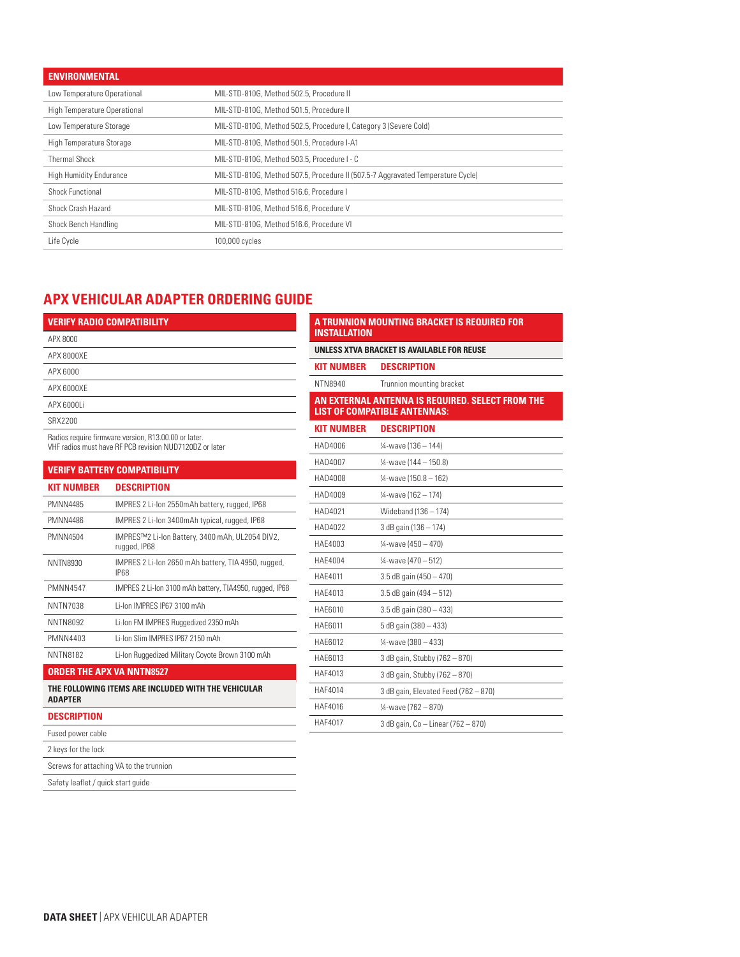| <b>ENVIRONMENTAL</b>           |                                                                                 |
|--------------------------------|---------------------------------------------------------------------------------|
| Low Temperature Operational    | MIL-STD-810G, Method 502.5, Procedure II                                        |
| High Temperature Operational   | MIL-STD-810G, Method 501.5, Procedure II                                        |
| Low Temperature Storage        | MIL-STD-810G, Method 502.5, Procedure I, Category 3 (Severe Cold)               |
| High Temperature Storage       | MIL-STD-810G. Method 501.5. Procedure I-A1                                      |
| <b>Thermal Shock</b>           | MIL-STD-810G. Method 503.5. Procedure I - C                                     |
| <b>High Humidity Endurance</b> | MIL-STD-810G, Method 507.5, Procedure II (507.5-7 Aggravated Temperature Cycle) |
| Shock Functional               | MIL-STD-810G, Method 516.6, Procedure I                                         |
| Shock Crash Hazard             | MIL-STD-810G, Method 516.6, Procedure V                                         |
| Shock Bench Handling           | MIL-STD-810G, Method 516.6, Procedure VI                                        |
| Life Cycle                     | 100,000 cycles                                                                  |

**INSTALLATION**

# **APX VEHICULAR ADAPTER ORDERING GUIDE**

| <b>VERIFY RADIO COMPATIBILITY</b>                                                                                                                                                                                                                 |
|---------------------------------------------------------------------------------------------------------------------------------------------------------------------------------------------------------------------------------------------------|
| APX 8000                                                                                                                                                                                                                                          |
| APX 8000XE                                                                                                                                                                                                                                        |
| APX 6000                                                                                                                                                                                                                                          |
| APX 6000XE                                                                                                                                                                                                                                        |
| APX 6000Li                                                                                                                                                                                                                                        |
| SRX2200                                                                                                                                                                                                                                           |
| $D - 32$ and $D - 42$ and $D - 42$ and $D - 42$ and $D - 42$ and $D - 42$ and $D - 42$ and $D - 42$ and $D - 42$ and $D - 42$ and $D - 42$ and $D - 42$ and $D - 42$ and $D - 42$ and $D - 42$ and $D - 42$ and $D - 42$ and $D - 42$ and $D - 4$ |

Radios require firmware version, R13.00.00 or later.

VHF radios must have RF PCB revision NUD7120DZ or later

|                                  | <b>VERIFY BATTERY COMPATIBILITY</b>                             |
|----------------------------------|-----------------------------------------------------------------|
| <b>KIT NUMBER</b>                | <b>DESCRIPTION</b>                                              |
| <b>PMNN4485</b>                  | IMPRES 2 Li-lon 2550mAh battery, rugged, IP68                   |
| <b>PMNN4486</b>                  | IMPRES 2 Li-lon 3400mAh typical, rugged, IP68                   |
| PMNN4504                         | IMPRES™2 Li-Ion Battery, 3400 mAh, UL2054 DIV2,<br>rugged, IP68 |
| NNTN8930                         | IMPRES 2 Li-lon 2650 mAh battery, TIA 4950, rugged,<br>IP68     |
| <b>PMNN4547</b>                  | IMPRES 2 Li-Ion 3100 mAh battery, TIA4950, rugged, IP68         |
| NNTN7038                         | Li-Ion IMPRES IP67 3100 mAh                                     |
| NNTN8092                         | Li-Ion FM IMPRES Ruggedized 2350 mAh                            |
| PMNN4403                         | Li-Ion Slim IMPRES IP67 2150 mAh                                |
| <b>NNTN8182</b>                  | Li-Ion Ruggedized Military Coyote Brown 3100 mAh                |
| <b>ORDER THE APX VA NNTN8527</b> |                                                                 |
| <b>ADAPTER</b>                   | THE FOLLOWING ITEMS ARE INCLUDED WITH THE VEHICULAR             |

| NTN8940           | Trunnion mounting bracket                                                               |
|-------------------|-----------------------------------------------------------------------------------------|
|                   | AN EXTERNAL ANTENNA IS REQUIRED. SELECT FROM THE<br><b>LIST OF COMPATIBLE ANTENNAS:</b> |
| <b>KIT NUMBER</b> | <b>DESCRIPTION</b>                                                                      |
| HAD4006           | 1/4-wave (136 - 144)                                                                    |
| HAD4007           | 1/4-wave (144 - 150.8)                                                                  |
| HAD4008           | 14-wave (150.8 - 162)                                                                   |
| HAD4009           | 1⁄4-wave (162 - 174)                                                                    |
| HAD4021           | Wideband (136 - 174)                                                                    |
| HAD4022           | 3 dB gain (136 - 174)                                                                   |
| HAF4003           | 1⁄4-wave (450 - 470)                                                                    |
| <b>HAE4004</b>    | 1⁄4-wave (470 - 512)                                                                    |
| HAF4011           | $3.5$ dB gain (450 $-$ 470)                                                             |
| HAF4013           | 3.5 dB gain (494 - 512)                                                                 |
| HAE6010           | $3.5$ dB gain (380 - 433)                                                               |
| HAE6011           | 5 dB gain (380 - 433)                                                                   |
| HAE6012           | 1⁄4-wave (380 - 433)                                                                    |
| HAE6013           | 3 dB gain, Stubby (762 - 870)                                                           |
| HAF4013           | 3 dB gain, Stubby (762 - 870)                                                           |
| HAF4014           | 3 dB gain, Elevated Feed (762 - 870)                                                    |
| HAF4016           | 1/4-wave (762 - 870)                                                                    |

HAF4017 3 dB gain, Co – Linear (762 – 870)

**A TRUNNION MOUNTING BRACKET IS REQUIRED FOR** 

**UNLESS XTVA BRACKET IS AVAILABLE FOR REUSE**

**KIT NUMBER DESCRIPTION**

#### **DESCRIPTION**

Fused power cable

2 keys for the lock

Screws for attaching VA to the trunnion

Safety leaflet / quick start guide